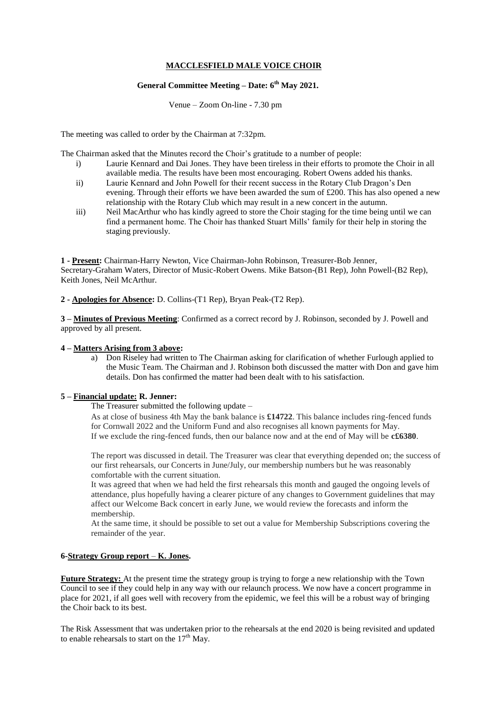# **MACCLESFIELD MALE VOICE CHOIR**

## **General Committee Meeting – Date: 6 th May 2021.**

Venue – Zoom On-line - 7.30 pm

The meeting was called to order by the Chairman at 7:32pm.

The Chairman asked that the Minutes record the Choir's gratitude to a number of people:

- i) Laurie Kennard and Dai Jones. They have been tireless in their efforts to promote the Choir in all available media. The results have been most encouraging. Robert Owens added his thanks.
- ii) Laurie Kennard and John Powell for their recent success in the Rotary Club Dragon's Den evening. Through their efforts we have been awarded the sum of £200. This has also opened a new relationship with the Rotary Club which may result in a new concert in the autumn.
- iii) Neil MacArthur who has kindly agreed to store the Choir staging for the time being until we can find a permanent home. The Choir has thanked Stuart Mills' family for their help in storing the staging previously.

**1 - Present:** Chairman-Harry Newton, Vice Chairman-John Robinson, Treasurer-Bob Jenner, Secretary-Graham Waters, Director of Music-Robert Owens. Mike Batson-(B1 Rep), John Powell-(B2 Rep), Keith Jones, Neil McArthur.

**2 - Apologies for Absence:** D. Collins-(T1 Rep), Bryan Peak-(T2 Rep).

**3 – Minutes of Previous Meeting**: Confirmed as a correct record by J. Robinson, seconded by J. Powell and approved by all present.

### **4 – Matters Arising from 3 above:**

a) Don Riseley had written to The Chairman asking for clarification of whether Furlough applied to the Music Team. The Chairman and J. Robinson both discussed the matter with Don and gave him details. Don has confirmed the matter had been dealt with to his satisfaction.

### **5 – Financial update: R. Jenner:**

The Treasurer submitted the following update –

As at close of business 4th May the bank balance is **£14722**. This balance includes ring-fenced funds for Cornwall 2022 and the Uniform Fund and also recognises all known payments for May. If we exclude the ring-fenced funds, then our balance now and at the end of May will be **c£6380**.

The report was discussed in detail. The Treasurer was clear that everything depended on; the success of our first rehearsals, our Concerts in June/July, our membership numbers but he was reasonably comfortable with the current situation.

It was agreed that when we had held the first rehearsals this month and gauged the ongoing levels of attendance, plus hopefully having a clearer picture of any changes to Government guidelines that may affect our Welcome Back concert in early June, we would review the forecasts and inform the membership.

At the same time, it should be possible to set out a value for Membership Subscriptions covering the remainder of the year.

### **6-Strategy Group report** – **K. Jones.**

**Future Strategy:** At the present time the strategy group is trying to forge a new relationship with the Town Council to see if they could help in any way with our relaunch process. We now have a concert programme in place for 2021, if all goes well with recovery from the epidemic, we feel this will be a robust way of bringing the Choir back to its best.

The Risk Assessment that was undertaken prior to the rehearsals at the end 2020 is being revisited and updated to enable rehearsals to start on the  $17<sup>th</sup>$  May.